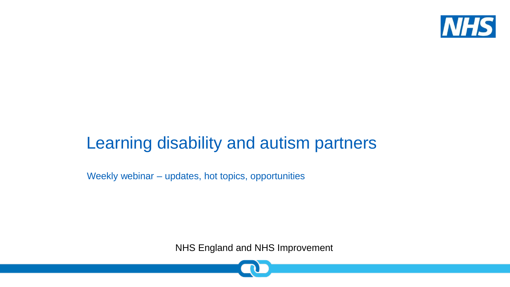

#### Learning disability and autism partners

Weekly webinar – updates, hot topics, opportunities

NHS England and NHS Improvement

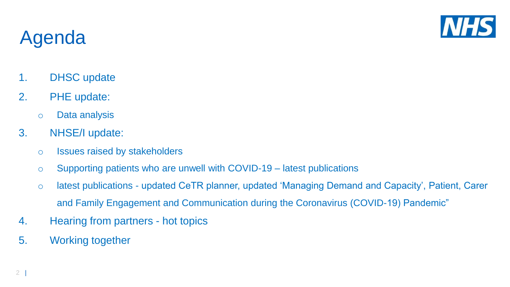

## Agenda

- 1. DHSC update
- 2. PHE update:
	- o Data analysis
- 3. NHSE/I update:
	- o Issues raised by stakeholders
	- o Supporting patients who are unwell with COVID-19 latest publications
	- o latest publications updated CeTR planner, updated 'Managing Demand and Capacity', Patient, Carer and Family Engagement and Communication during the Coronavirus (COVID-19) Pandemic"
- 4. Hearing from partners hot topics
- 5. Working together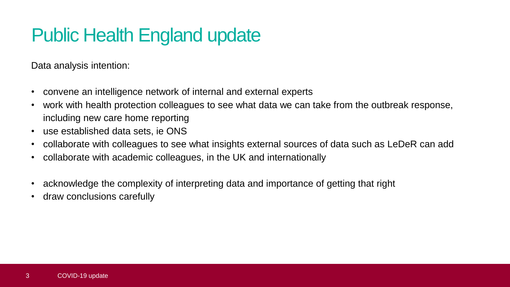## Public Health England update

Data analysis intention:

- convene an intelligence network of internal and external experts
- work with health protection colleagues to see what data we can take from the outbreak response, including new care home reporting
- use established data sets, ie ONS
- collaborate with colleagues to see what insights external sources of data such as LeDeR can add
- collaborate with academic colleagues, in the UK and internationally
- acknowledge the complexity of interpreting data and importance of getting that right
- draw conclusions carefully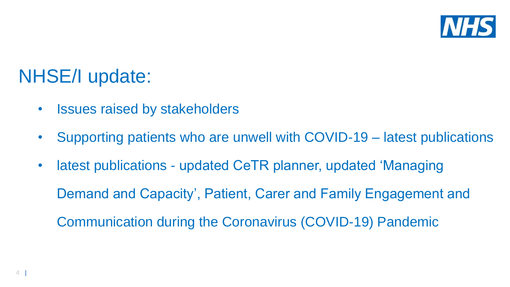

### NHSE/I update:

- Issues raised by stakeholders
- Supporting patients who are unwell with COVID-19 latest publications
- latest publications updated CeTR planner, updated 'Managing Demand and Capacity', Patient, Carer and Family Engagement and Communication during the Coronavirus (COVID-19) Pandemic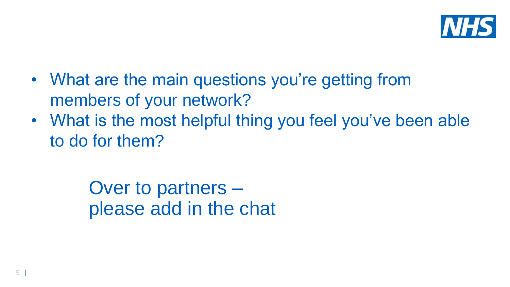

- What are the main questions you're getting from members of your network?
- What is the most helpful thing you feel you've been able to do for them?

Over to partners – please add in the chat